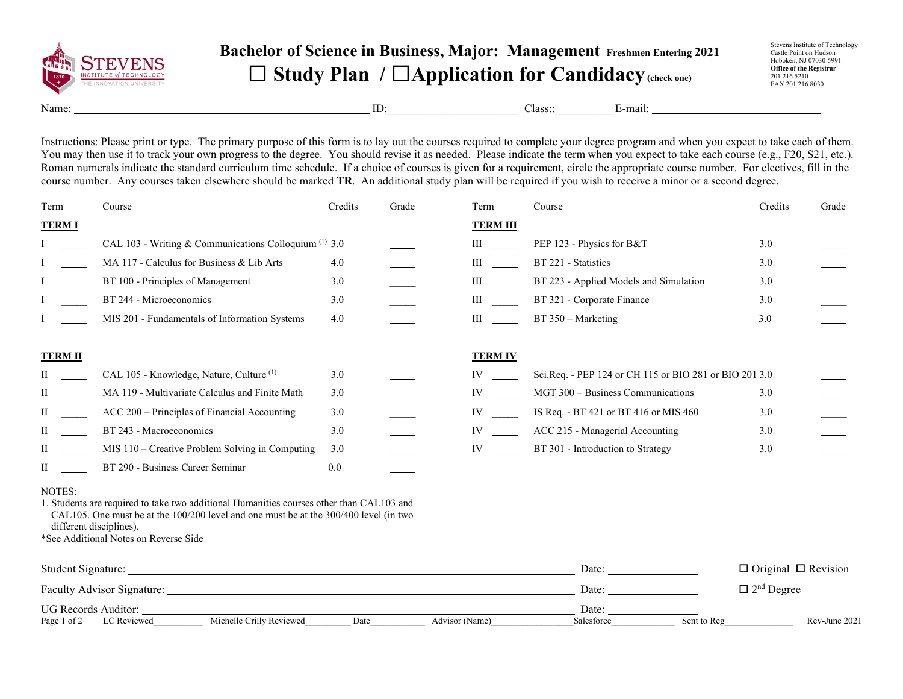

## **Bachelor of Science in Business, Major: Management Freshmen Entering 2021** ☐ **Study Plan /** ☐**Application for Candidacy(check one)**

Stevens Institute of Technology Castle Point on Hudson Hoboken, NJ 07030-5991 **Office of the Registrar** 201.216.5210 FAX 201.216.8030

Name: E-mail: ID: Class:: E-mail:

Instructions: Please print or type. The primary purpose of this form is to lay out the courses required to complete your degree program and when you expect to take each of them. You may then use it to track your own progress to the degree. You should revise it as needed. Please indicate the term when you expect to take each course (e.g., F20, S21, etc.). Roman numerals indicate the standard curriculum time schedule. If a choice of courses is given for a requirement, circle the appropriate course number. For electives, fill in the course number. Any courses taken elsewhere should be marked **TR**. An additional study plan will be required if you wish to receive a minor or a second degree.

| Term           | Course                                                  | Credits | Grade | Term            | Course                                                 | Credits | Grade |
|----------------|---------------------------------------------------------|---------|-------|-----------------|--------------------------------------------------------|---------|-------|
| <b>TERMI</b>   |                                                         |         |       | <b>TERM III</b> |                                                        |         |       |
|                | CAL 103 - Writing & Communications Colloquium $(1)$ 3.0 |         |       | Ш               | PEP 123 - Physics for B&T                              | 3.0     |       |
|                | MA 117 - Calculus for Business & Lib Arts               | 4.0     |       | Ш               | BT 221 - Statistics                                    | 3.0     |       |
|                | BT 100 - Principles of Management                       | 3.0     |       | Ш               | BT 223 - Applied Models and Simulation                 | 3.0     |       |
|                | BT 244 - Microeconomics                                 | 3.0     |       | Ш               | BT 321 - Corporate Finance                             | 3.0     |       |
|                | MIS 201 - Fundamentals of Information Systems           | 4.0     |       | Ш               | $BT 350 - Marketing$                                   | 3.0     |       |
| <b>TERM II</b> |                                                         |         |       | <b>TERM IV</b>  |                                                        |         |       |
| П              | CAL 105 - Knowledge, Nature, Culture <sup>(1)</sup>     | 3.0     |       | IV              | Sci.Req. - PEP 124 or CH 115 or BIO 281 or BIO 201 3.0 |         |       |
| П              | MA 119 - Multivariate Calculus and Finite Math          | 3.0     |       | IV              | MGT 300 - Business Communications                      | 3.0     |       |
| П              | ACC 200 – Principles of Financial Accounting            | 3.0     |       | IV              | IS Req. - BT 421 or BT 416 or MIS 460                  | 3.0     |       |
| П              | BT 243 - Macroeconomics                                 | 3.0     |       | IV              | ACC 215 - Managerial Accounting                        | 3.0     |       |
| П              | MIS 110 - Creative Problem Solving in Computing         | 3.0     |       | IV              | BT 301 - Introduction to Strategy                      | 3.0     |       |
| П              | BT 290 - Business Career Seminar                        | 0.0     |       |                 |                                                        |         |       |

## NOTES:

1. Students are required to take two additional Humanities courses other than CAL103 and CAL105. One must be at the 100/200 level and one must be at the 300/400 level (in two different disciplines).

\*See Additional Notes on Reverse Side

| Student Signature:                |                          |      |                | Date:      |             | $\Box$ Original $\Box$ Revision |
|-----------------------------------|--------------------------|------|----------------|------------|-------------|---------------------------------|
| <b>Faculty Advisor Signature:</b> |                          |      |                | Date:      |             | $\Box$ 2 <sup>nd</sup> Degree   |
| UG Records Auditor:               |                          |      |                | Date:      |             |                                 |
| Page 1 of 2<br>LC Reviewed        | Michelle Crilly Reviewed | Date | Advisor (Name) | Salesforce | Sent to Reg | Rev-June 2021                   |